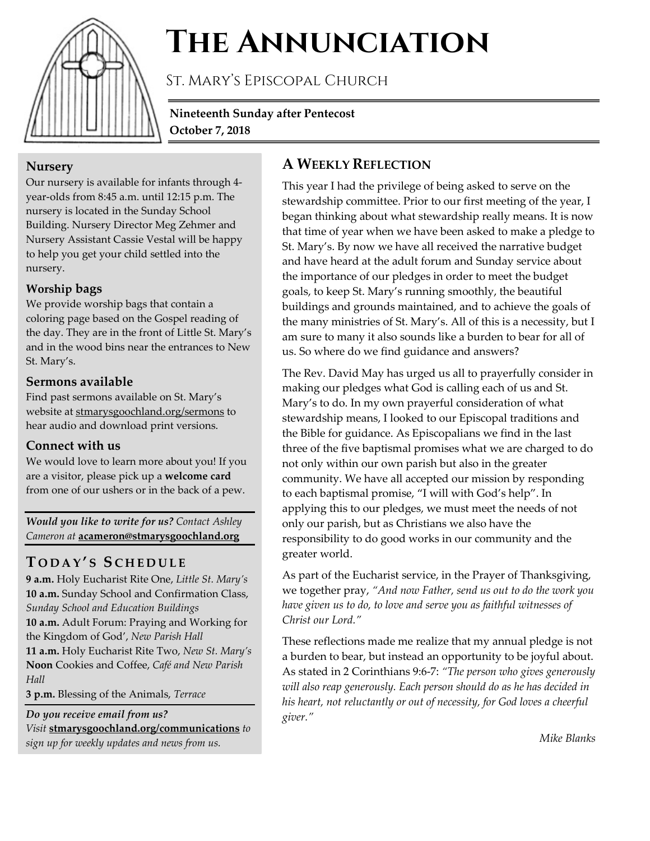

# **The Annunciation**

St. Mary's Episcopal Church

**Nineteenth Sunday after Pentecost October 7, 2018**

# **Nursery**

Our nursery is available for infants through 4 year-olds from 8:45 a.m. until 12:15 p.m. The nursery is located in the Sunday School Building. Nursery Director Meg Zehmer and Nursery Assistant Cassie Vestal will be happy to help you get your child settled into the nursery.

# **Worship bags**

We provide worship bags that contain a coloring page based on the Gospel reading of the day. They are in the front of Little St. Mary's and in the wood bins near the entrances to New St. Mary's.

# **Sermons available**

Find past sermons available on St. Mary's website at stmarysgoochland.org/sermons to hear audio and download print versions.

# **Connect with us**

We would love to learn more about you! If you are a visitor, please pick up a **welcome card** from one of our ushers or in the back of a pew.

*Would you like to write for us? Contact Ashley Cameron at* **acameron@stmarysgoochland.org**

# **T ODAY ' S S CHEDULE**

**9 a.m.** Holy Eucharist Rite One, *Little St. Mary's* **10 a.m.** Sunday School and Confirmation Class, *Sunday School and Education Buildings* **10 a.m.** Adult Forum: Praying and Working for the Kingdom of God', *New Parish Hall* **11 a.m.** Holy Eucharist Rite Two, *New St. Mary's* **Noon** Cookies and Coffee, *Café and New Parish Hall*

**3 p.m.** Blessing of the Animals, *Terrace*

*Do you receive email from us? Visit* **stmarysgoochland.org/communications** *to* 

*sign up for weekly updates and news from us.*

# **A WEEKLY REFLECTION**

This year I had the privilege of being asked to serve on the stewardship committee. Prior to our first meeting of the year, I began thinking about what stewardship really means. It is now that time of year when we have been asked to make a pledge to St. Mary's. By now we have all received the narrative budget and have heard at the adult forum and Sunday service about the importance of our pledges in order to meet the budget goals, to keep St. Mary's running smoothly, the beautiful buildings and grounds maintained, and to achieve the goals of the many ministries of St. Mary's. All of this is a necessity, but I am sure to many it also sounds like a burden to bear for all of us. So where do we find guidance and answers?

The Rev. David May has urged us all to prayerfully consider in making our pledges what God is calling each of us and St. Mary's to do. In my own prayerful consideration of what stewardship means, I looked to our Episcopal traditions and the Bible for guidance. As Episcopalians we find in the last three of the five baptismal promises what we are charged to do not only within our own parish but also in the greater community. We have all accepted our mission by responding to each baptismal promise, "I will with God's help". In applying this to our pledges, we must meet the needs of not only our parish, but as Christians we also have the responsibility to do good works in our community and the greater world.

As part of the Eucharist service, in the Prayer of Thanksgiving, we together pray, *"And now Father, send us out to do the work you have given us to do, to love and serve you as faithful witnesses of Christ our Lord."*

These reflections made me realize that my annual pledge is not a burden to bear, but instead an opportunity to be joyful about. As stated in 2 Corinthians 9:6-7: *"The person who gives generously will also reap generously. Each person should do as he has decided in his heart, not reluctantly or out of necessity, for God loves a cheerful giver."*

*Mike Blanks*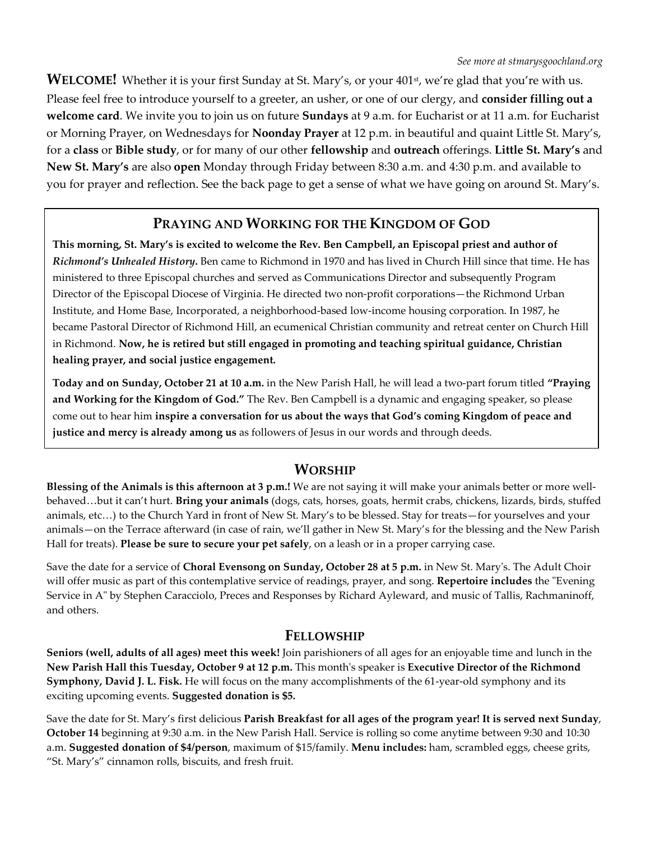**WELCOME!** Whether it is your first Sunday at St. Mary's, or your 401<sup>st</sup>, we're glad that you're with us. Please feel free to introduce yourself to a greeter, an usher, or one of our clergy, and **consider filling out a welcome card**. We invite you to join us on future **Sundays** at 9 a.m. for Eucharist or at 11 a.m. for Eucharist or Morning Prayer, on Wednesdays for **Noonday Prayer** at 12 p.m. in beautiful and quaint Little St. Mary's, for a **class** or **Bible study**, or for many of our other **fellowship** and **outreach** offerings. **Little St. Mary's** and **New St. Mary's** are also **open** Monday through Friday between 8:30 a.m. and 4:30 p.m. and available to you for prayer and reflection. See the back page to get a sense of what we have going on around St. Mary's.

# **PRAYING AND WORKING FOR THE KINGDOM OF GOD**

**This morning, St. Mary's is excited to welcome the Rev. Ben Campbell, an Episcopal priest and author of**  *Richmond's Unhealed History***.** Ben came to Richmond in 1970 and has lived in Church Hill since that time. He has ministered to three Episcopal churches and served as Communications Director and subsequently Program Director of the Episcopal Diocese of Virginia. He directed two non-profit corporations—the Richmond Urban Institute, and Home Base, Incorporated, a neighborhood-based low-income housing corporation. In 1987, he became Pastoral Director of Richmond Hill, an ecumenical Christian community and retreat center on Church Hill in Richmond. **Now, he is retired but still engaged in promoting and teaching spiritual guidance, Christian healing prayer, and social justice engagement.**

**Today and on Sunday, October 21 at 10 a.m.** in the New Parish Hall, he will lead a two-part forum titled **"Praying and Working for the Kingdom of God."** The Rev. Ben Campbell is a dynamic and engaging speaker, so please come out to hear him **inspire a conversation for us about the ways that God's coming Kingdom of peace and justice and mercy is already among us** as followers of Jesus in our words and through deeds.

# **WORSHIP**

**Blessing of the Animals is this afternoon at 3 p.m.!** We are not saying it will make your animals better or more wellbehaved…but it can't hurt. **Bring your animals** (dogs, cats, horses, goats, hermit crabs, chickens, lizards, birds, stuffed animals, etc…) to the Church Yard in front of New St. Mary's to be blessed. Stay for treats—for yourselves and your animals—on the Terrace afterward (in case of rain, we'll gather in New St. Mary's for the blessing and the New Parish Hall for treats). **Please be sure to secure your pet safely**, on a leash or in a proper carrying case.

Save the date for a service of **Choral Evensong on Sunday, October 28 at 5 p.m.** in New St. Mary's. The Adult Choir will offer music as part of this contemplative service of readings, prayer, and song. **Repertoire includes** the "Evening Service in A" by Stephen Caracciolo, Preces and Responses by Richard Ayleward, and music of Tallis, Rachmaninoff, and others.

#### **FELLOWSHIP**

**Seniors (well, adults of all ages) meet this week!** Join parishioners of all ages for an enjoyable time and lunch in the **New Parish Hall this Tuesday, October 9 at 12 p.m.** This month's speaker is **Executive Director of the Richmond Symphony, David J. L. Fisk.** He will focus on the many accomplishments of the 61-year-old symphony and its exciting upcoming events. **Suggested donation is \$5.**

Save the date for St. Mary's first delicious **Parish Breakfast for all ages of the program year! It is served next Sunday**, **October 14** beginning at 9:30 a.m. in the New Parish Hall. Service is rolling so come anytime between 9:30 and 10:30 a.m. **Suggested donation of \$4/person**, maximum of \$15/family. **Menu includes:** ham, scrambled eggs, cheese grits, "St. Mary's" cinnamon rolls, biscuits, and fresh fruit.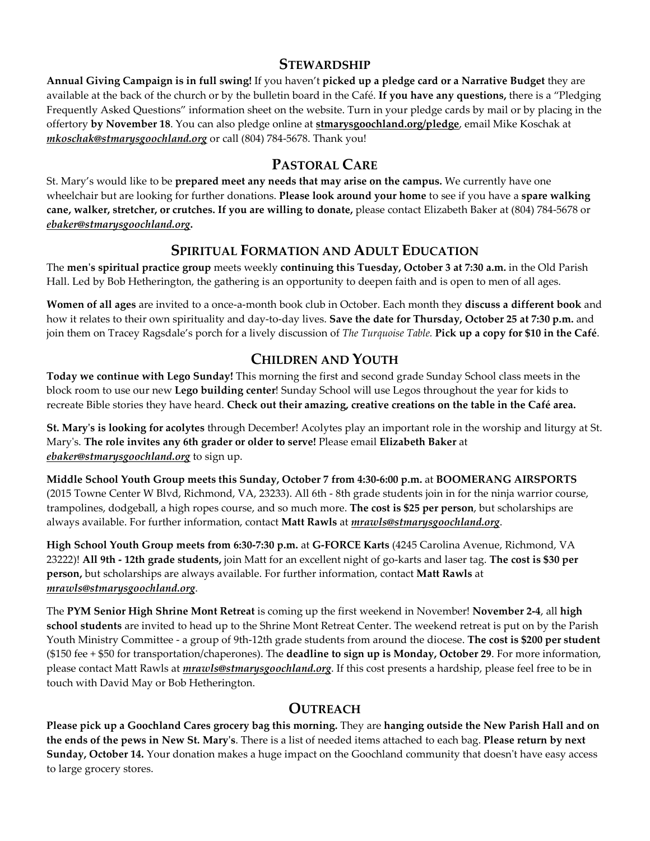#### **STEWARDSHIP**

**Annual Giving Campaign is in full swing!** If you haven't **picked up a pledge card or a Narrative Budget** they are available at the back of the church or by the bulletin board in the Café. **If you have any questions,** there is a "Pledging Frequently Asked Questions" information sheet on the website. Turn in your pledge cards by mail or by placing in the offertory **by November 18**. You can also pledge online at **stmarysgoochland.org/pledge**, email Mike Koschak at *mkoschak@stmarysgoochland.org* or call (804) 784-5678. Thank you!

# **PASTORAL CARE**

St. Mary's would like to be **prepared meet any needs that may arise on the campus.** We currently have one wheelchair but are looking for further donations. **Please look around your home** to see if you have a **spare walking cane, walker, stretcher, or crutches. If you are willing to donate,** please contact Elizabeth Baker at (804) 784-5678 or *ebaker@stmarysgoochland.org***.** 

# **SPIRITUAL FORMATION AND ADULT EDUCATION**

The **men's spiritual practice group** meets weekly **continuing this Tuesday, October 3 at 7:30 a.m.** in the Old Parish Hall. Led by Bob Hetherington, the gathering is an opportunity to deepen faith and is open to men of all ages.

**Women of all ages** are invited to a once-a-month book club in October. Each month they **discuss a different book** and how it relates to their own spirituality and day-to-day lives. **Save the date for Thursday, October 25 at 7:30 p.m.** and join them on Tracey Ragsdale's porch for a lively discussion of *The Turquoise Table.* **Pick up a copy for \$10 in the Café**.

# **CHILDREN AND YOUTH**

**Today we continue with Lego Sunday!** This morning the first and second grade Sunday School class meets in the block room to use our new **Lego building center**! Sunday School will use Legos throughout the year for kids to recreate Bible stories they have heard. **Check out their amazing, creative creations on the table in the Café area.**

**St. Mary's is looking for acolytes** through December! Acolytes play an important role in the worship and liturgy at St. Mary's. **The role invites any 6th grader or older to serve!** Please email **Elizabeth Baker** at *ebaker@stmarysgoochland.org* to sign up.

**Middle School Youth Group meets this Sunday, October 7 from 4:30-6:00 p.m.** at **BOOMERANG AIRSPORTS** (2015 Towne Center W Blvd, Richmond, VA, 23233). All 6th - 8th grade students join in for the ninja warrior course, trampolines, dodgeball, a high ropes course, and so much more. **The cost is \$25 per person**, but scholarships are always available. For further information, contact **Matt Rawls** at *mrawls@stmarysgoochland.org*.

**High School Youth Group meets from 6:30-7:30 p.m.** at **G-FORCE Karts** (4245 Carolina Avenue, Richmond, VA 23222)! **All 9th - 12th grade students,** join Matt for an excellent night of go-karts and laser tag. **The cost is \$30 per person,** but scholarships are always available. For further information, contact **Matt Rawls** at *mrawls@stmarysgoochland.org*.

The **PYM Senior High Shrine Mont Retreat** is coming up the first weekend in November! **November 2-4**, all **high school students** are invited to head up to the Shrine Mont Retreat Center. The weekend retreat is put on by the Parish Youth Ministry Committee - a group of 9th-12th grade students from around the diocese. **The cost is \$200 per student** (\$150 fee + \$50 for transportation/chaperones). The **deadline to sign up is Monday, October 29**. For more information, please contact Matt Rawls at *mrawls@stmarysgoochland.org*. If this cost presents a hardship, please feel free to be in touch with David May or Bob Hetherington.

# **OUTREACH**

**Please pick up a Goochland Cares grocery bag this morning.** They are **hanging outside the New Parish Hall and on the ends of the pews in New St. Mary's**. There is a list of needed items attached to each bag. **Please return by next Sunday, October 14.** Your donation makes a huge impact on the Goochland community that doesn't have easy access to large grocery stores.